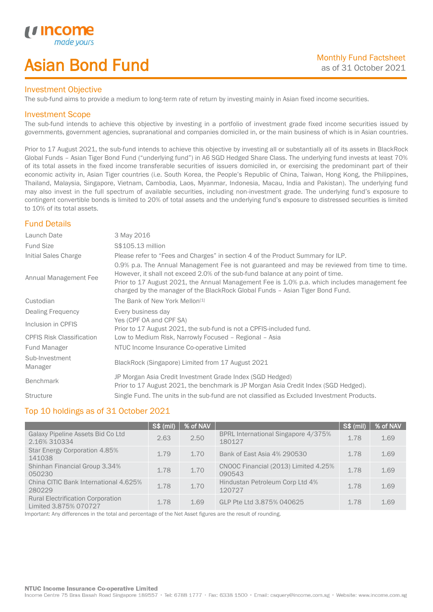# Asian Bond Fund

### Investment Objective

The sub-fund aims to provide a medium to long-term rate of return by investing mainly in Asian fixed income securities.

## Investment Scope

*i i* Incol

I

The sub-fund intends to achieve this objective by investing in a portfolio of investment grade fixed income securities issued by governments, government agencies, supranational and companies domiciled in, or the main business of which is in Asian countries.

Prior to 17 August 2021, the sub-fund intends to achieve this objective by investing all or substantially all of its assets in BlackRock Global Funds – Asian Tiger Bond Fund ("underlying fund") in A6 SGD Hedged Share Class. The underlying fund invests at least 70% of its total assets in the fixed income transferable securities of issuers domiciled in, or exercising the predominant part of their economic activity in, Asian Tiger countries (i.e. South Korea, the People's Republic of China, Taiwan, Hong Kong, the Philippines, Thailand, Malaysia, Singapore, Vietnam, Cambodia, Laos, Myanmar, Indonesia, Macau, India and Pakistan). The underlying fund may also invest in the full spectrum of available securities, including non-investment grade. The underlying fund's exposure to contingent convertible bonds is limited to 20% of total assets and the underlying fund's exposure to distressed securities is limited to 10% of its total assets.

# Fund Details

| Launch Date                      | 3 May 2016                                                                                                                                                                                                                                                                                                                                                        |
|----------------------------------|-------------------------------------------------------------------------------------------------------------------------------------------------------------------------------------------------------------------------------------------------------------------------------------------------------------------------------------------------------------------|
| <b>Fund Size</b>                 | S\$105.13 million                                                                                                                                                                                                                                                                                                                                                 |
| Initial Sales Charge             | Please refer to "Fees and Charges" in section 4 of the Product Summary for ILP.                                                                                                                                                                                                                                                                                   |
| Annual Management Fee            | 0.9% p.a. The Annual Management Fee is not guaranteed and may be reviewed from time to time.<br>However, it shall not exceed 2.0% of the sub-fund balance at any point of time.<br>Prior to 17 August 2021, the Annual Management Fee is 1.0% p.a. which includes management fee<br>charged by the manager of the BlackRock Global Funds - Asian Tiger Bond Fund. |
| Custodian                        | The Bank of New York Mellon <sup>[1]</sup>                                                                                                                                                                                                                                                                                                                        |
| Dealing Frequency                | Every business day                                                                                                                                                                                                                                                                                                                                                |
| Inclusion in CPFIS               | Yes (CPF OA and CPF SA)<br>Prior to 17 August 2021, the sub-fund is not a CPFIS-included fund.                                                                                                                                                                                                                                                                    |
| <b>CPFIS Risk Classification</b> | Low to Medium Risk, Narrowly Focused - Regional - Asia                                                                                                                                                                                                                                                                                                            |
| Fund Manager                     | NTUC Income Insurance Co-operative Limited                                                                                                                                                                                                                                                                                                                        |
| Sub-Investment<br>Manager        | BlackRock (Singapore) Limited from 17 August 2021                                                                                                                                                                                                                                                                                                                 |
| <b>Benchmark</b>                 | JP Morgan Asia Credit Investment Grade Index (SGD Hedged)<br>Prior to 17 August 2021, the benchmark is JP Morgan Asia Credit Index (SGD Hedged).                                                                                                                                                                                                                  |
| <b>Structure</b>                 | Single Fund. The units in the sub-fund are not classified as Excluded Investment Products.                                                                                                                                                                                                                                                                        |

## Top 10 holdings as of 31 October 2021

|                                                                   | <b>S\$ (mil)</b> | % of NAV |                                                | <b>S\$ (mil)</b> | % of NAV |
|-------------------------------------------------------------------|------------------|----------|------------------------------------------------|------------------|----------|
| Galaxy Pipeline Assets Bid Co Ltd<br>2.16% 310334                 | 2.63             | 2.50     | BPRL International Singapore 4/375%<br>180127  | 1.78             | 1.69     |
| Star Energy Corporation 4.85%<br>141038                           | 1.79             | 1.70     | Bank of East Asia 4% 290530                    | 1.78             | 1.69     |
| Shinhan Financial Group 3.34%<br>050230                           | 1.78             | 1.70     | CNOOC Financial (2013) Limited 4.25%<br>090543 | 1.78             | 1.69     |
| China CITIC Bank International 4.625%<br>280229                   | 1.78             | 1.70     | Hindustan Petroleum Corp Ltd 4%<br>120727      | 1.78             | 1.69     |
| <b>Rural Electrification Corporation</b><br>Limited 3.875% 070727 | 1.78             | 1.69     | GLP Pte Ltd 3.875% 040625                      | 1.78             | 1.69     |

Important: Any differences in the total and percentage of the Net Asset figures are the result of rounding.